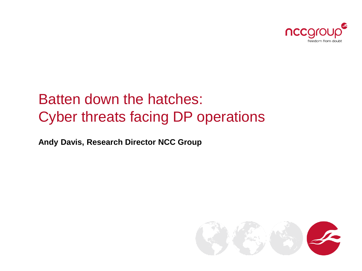

### Batten down the hatches: Cyber threats facing DP operations

**Andy Davis, Research Director NCC Group**

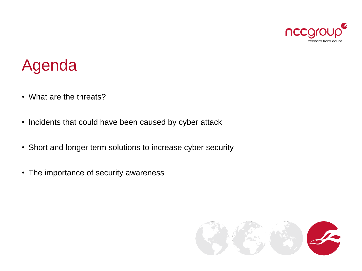

# Agenda

- What are the threats?
- Incidents that could have been caused by cyber attack
- Short and longer term solutions to increase cyber security
- The importance of security awareness

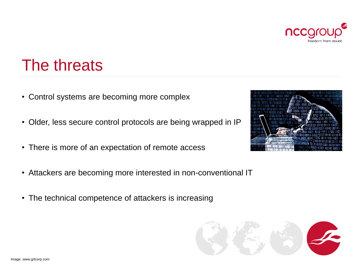

# The threats

- Control systems are becoming more complex
- Older, less secure control protocols are being wrapped in IP
- There is more of an expectation of remote access
- Attackers are becoming more interested in non-conventional IT
- The technical competence of attackers is increasing



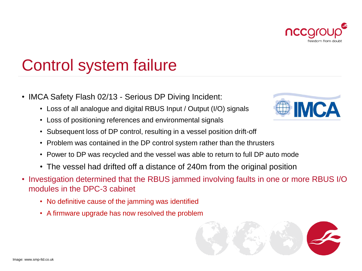

# Control system failure

- IMCA Safety Flash 02/13 Serious DP Diving Incident:
	- Loss of all analogue and digital RBUS Input / Output (I/O) signals
	- Loss of positioning references and environmental signals
	- Subsequent loss of DP control, resulting in a vessel position drift-off
	- Problem was contained in the DP control system rather than the thrusters
	- Power to DP was recycled and the vessel was able to return to full DP auto mode
	- The vessel had drifted off a distance of 240m from the original position
- Investigation determined that the RBUS jammed involving faults in one or more RBUS I/O modules in the DPC-3 cabinet
	- No definitive cause of the jamming was identified
	- A firmware upgrade has now resolved the problem



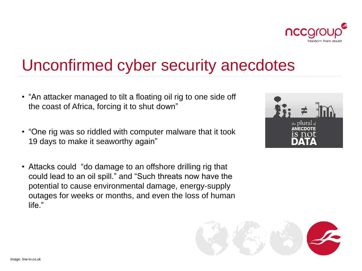

# Unconfirmed cyber security anecdotes

- "An attacker managed to tilt a floating oil rig to one side off the coast of Africa, forcing it to shut down"
- "One rig was so riddled with computer malware that it took 19 days to make it seaworthy again"
- Attacks could "do damage to an offshore drilling rig that could lead to an oil spill." and "Such threats now have the potential to cause environmental damage, energy-supply outages for weeks or months, and even the loss of human life."



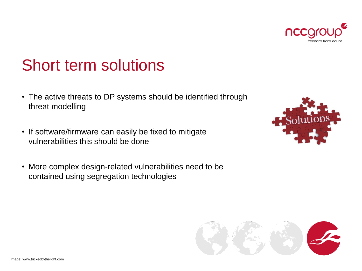

nccgro

freedom from dout

## Short term solutions

- The active threats to DP systems should be identified through threat modelling
- If software/firmware can easily be fixed to mitigate vulnerabilities this should be done
- More complex design-related vulnerabilities need to be contained using segregation technologies



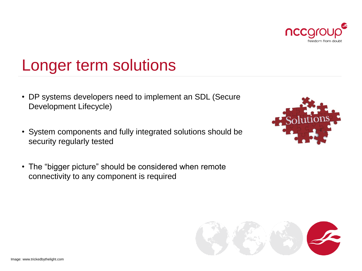

## Longer term solutions

- DP systems developers need to implement an SDL (Secure Development Lifecycle)
- System components and fully integrated solutions should be security regularly tested
- The "bigger picture" should be considered when remote connectivity to any component is required



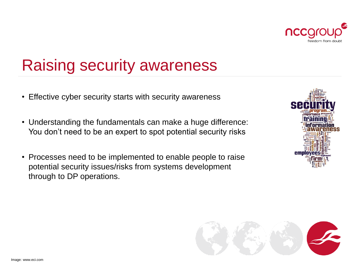

# Raising security awareness

- Effective cyber security starts with security awareness
- Understanding the fundamentals can make a huge difference: You don't need to be an expert to spot potential security risks
- Processes need to be implemented to enable people to raise potential security issues/risks from systems development through to DP operations.